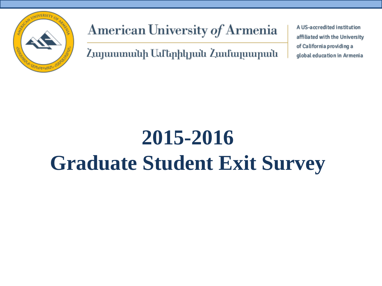

American University of Armenia

Հայաստանի Ամերիկյան Համալսարան

A US-accredited institution affiliated with the University of California providing a global education in Armenia

# **2015-2016 Graduate Student Exit Survey**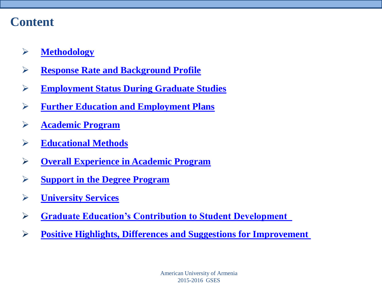#### **Content**

- **[Methodology](#page-2-0)**
- **[Response Rate and Background Profile](#page-3-0)**
- **[Employment Status During Graduate Studies](#page-6-0)**
- **[Further Education and Employment Plans](#page-8-0)**
- **[Academic Program](#page-11-0)**
- **[Educational Methods](#page-13-0)**
- **[Overall Experience in Academic Program](#page-16-0)**
- **[Support in the Degree Program](#page-17-0)**
- **[University Services](#page-18-0)**
- **[Graduate Education's Contribution to Student Development](#page-20-0)**
- **[Positive Highlights, Differences and Suggestions for Improvement](#page-21-0)**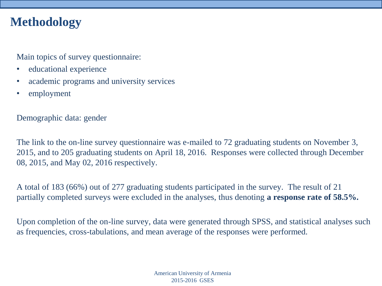#### **Methodology**

Main topics of survey questionnaire:

- educational experience
- academic programs and university services
- employment

Demographic data: gender

The link to the on-line survey questionnaire was e-mailed to 72 graduating students on November 3, 2015, and to 205 graduating students on April 18, 2016. Responses were collected through December 08, 2015, and May 02, 2016 respectively.

A total of 183 (66%) out of 277 graduating students participated in the survey. The result of 21 partially completed surveys were excluded in the analyses, thus denoting **a response rate of 58.5%.**

<span id="page-2-0"></span>Upon completion of the on-line survey, data were generated through SPSS, and statistical analyses such as frequencies, cross-tabulations, and mean average of the responses were performed.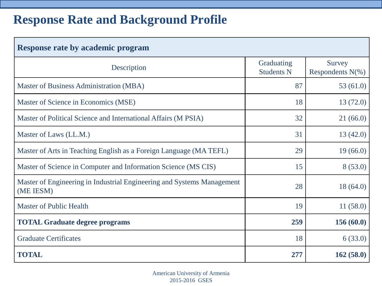# **Response Rate and Background Profile**

<span id="page-3-0"></span>

| <b>Response rate by academic program</b>                                            |                                 |                                |  |  |  |  |
|-------------------------------------------------------------------------------------|---------------------------------|--------------------------------|--|--|--|--|
| Description                                                                         | Graduating<br><b>Students N</b> | Survey<br>Respondents $N(\% )$ |  |  |  |  |
| Master of Business Administration (MBA)                                             | 87                              | 53(61.0)                       |  |  |  |  |
| Master of Science in Economics (MSE)                                                | 18                              | 13(72.0)                       |  |  |  |  |
| Master of Political Science and International Affairs (M PSIA)                      | 32                              | 21(66.0)                       |  |  |  |  |
| Master of Laws (LL.M.)                                                              | 31                              | 13(42.0)                       |  |  |  |  |
| Master of Arts in Teaching English as a Foreign Language (MA TEFL)                  | 29                              | 19(66.0)                       |  |  |  |  |
| Master of Science in Computer and Information Science (MS CIS)                      | 15                              | 8(53.0)                        |  |  |  |  |
| Master of Engineering in Industrial Engineering and Systems Management<br>(ME IESM) | 28                              | 18(64.0)                       |  |  |  |  |
| <b>Master of Public Health</b>                                                      | 19                              | 11(58.0)                       |  |  |  |  |
| <b>TOTAL Graduate degree programs</b>                                               | 259                             | 156 (60.0)                     |  |  |  |  |
| <b>Graduate Certificates</b>                                                        | 18                              | 6(33.0)                        |  |  |  |  |
| <b>TOTAL</b>                                                                        | 277                             | 162(58.0)                      |  |  |  |  |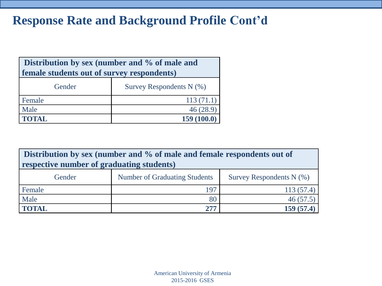## **Response Rate and Background Profile Cont'd**

| Distribution by sex (number and % of male and |                            |  |  |  |
|-----------------------------------------------|----------------------------|--|--|--|
| female students out of survey respondents)    |                            |  |  |  |
| Gender                                        | Survey Respondents $N$ (%) |  |  |  |
| Female                                        | 113(71.1)                  |  |  |  |
| Male                                          | 46(28.9)                   |  |  |  |
| <b>TOTAL</b>                                  | 159(100.0)                 |  |  |  |

| Distribution by sex (number and % of male and female respondents out of |                                      |                            |  |  |  |  |  |
|-------------------------------------------------------------------------|--------------------------------------|----------------------------|--|--|--|--|--|
| respective number of graduating students)                               |                                      |                            |  |  |  |  |  |
| Gender                                                                  | <b>Number of Graduating Students</b> | Survey Respondents $N$ (%) |  |  |  |  |  |
| Female                                                                  | 197                                  | 113(57.4)                  |  |  |  |  |  |
| Male                                                                    | 80                                   | 46(57.5)                   |  |  |  |  |  |
| <b>TOTAL</b>                                                            | 277                                  | 159(57.4)                  |  |  |  |  |  |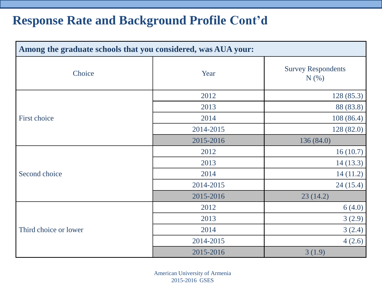#### **Response Rate and Background Profile Cont'd**

| Among the graduate schools that you considered, was AUA your: |           |                                      |  |  |  |  |
|---------------------------------------------------------------|-----------|--------------------------------------|--|--|--|--|
| Choice                                                        | Year      | <b>Survey Respondents</b><br>$N(\%)$ |  |  |  |  |
|                                                               | 2012      | 128(85.3)                            |  |  |  |  |
|                                                               | 2013      | 88 (83.8)                            |  |  |  |  |
| First choice                                                  | 2014      | 108(86.4)                            |  |  |  |  |
|                                                               | 2014-2015 | 128(82.0)                            |  |  |  |  |
|                                                               | 2015-2016 | 136(84.0)                            |  |  |  |  |
|                                                               | 2012      | 16(10.7)                             |  |  |  |  |
|                                                               | 2013      | 14(13.3)                             |  |  |  |  |
| Second choice                                                 | 2014      | 14(11.2)                             |  |  |  |  |
|                                                               | 2014-2015 | 24(15.4)                             |  |  |  |  |
|                                                               | 2015-2016 | 23(14.2)                             |  |  |  |  |
|                                                               | 2012      | 6(4.0)                               |  |  |  |  |
|                                                               | 2013      | 3(2.9)                               |  |  |  |  |
| Third choice or lower                                         | 2014      | 3(2.4)                               |  |  |  |  |
|                                                               | 2014-2015 | 4(2.6)                               |  |  |  |  |
|                                                               | 2015-2016 | 3(1.9)                               |  |  |  |  |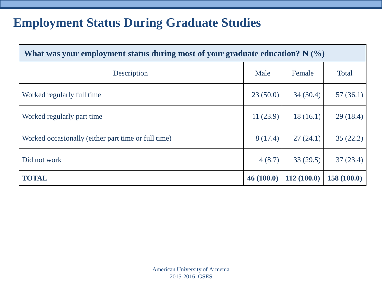#### **Employment Status During Graduate Studies**

<span id="page-6-0"></span>

| What was your employment status during most of your graduate education? $N(\%)$ |           |            |              |  |  |
|---------------------------------------------------------------------------------|-----------|------------|--------------|--|--|
| Description                                                                     | Male      | Female     | <b>Total</b> |  |  |
| Worked regularly full time                                                      | 23(50.0)  | 34(30.4)   | 57(36.1)     |  |  |
| Worked regularly part time                                                      | 11(23.9)  | 18(16.1)   | 29(18.4)     |  |  |
| Worked occasionally (either part time or full time)                             | 8(17.4)   | 27(24.1)   | 35(22.2)     |  |  |
| Did not work                                                                    | 4(8.7)    | 33(29.5)   | 37(23.4)     |  |  |
| <b>TOTAL</b>                                                                    | 46(100.0) | 112(100.0) | 158(100.0)   |  |  |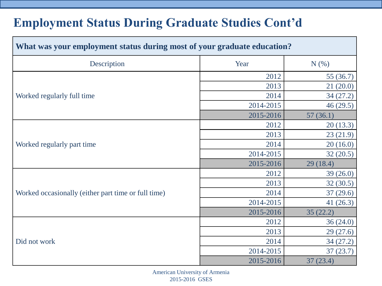# **Employment Status During Graduate Studies Cont'd**

| What was your employment status during most of your graduate education? |           |          |  |  |  |  |
|-------------------------------------------------------------------------|-----------|----------|--|--|--|--|
| Description                                                             | Year      | N(% )    |  |  |  |  |
|                                                                         | 2012      | 55(36.7) |  |  |  |  |
|                                                                         | 2013      | 21(20.0) |  |  |  |  |
| Worked regularly full time                                              | 2014      | 34(27.2) |  |  |  |  |
|                                                                         | 2014-2015 | 46(29.5) |  |  |  |  |
|                                                                         | 2015-2016 | 57(36.1) |  |  |  |  |
|                                                                         | 2012      | 20(13.3) |  |  |  |  |
|                                                                         | 2013      | 23(21.9) |  |  |  |  |
| Worked regularly part time                                              | 2014      | 20(16.0) |  |  |  |  |
|                                                                         | 2014-2015 | 32(20.5) |  |  |  |  |
|                                                                         | 2015-2016 | 29(18.4) |  |  |  |  |
|                                                                         | 2012      | 39(26.0) |  |  |  |  |
|                                                                         | 2013      | 32(30.5) |  |  |  |  |
| Worked occasionally (either part time or full time)                     | 2014      | 37(29.6) |  |  |  |  |
|                                                                         | 2014-2015 | 41(26.3) |  |  |  |  |
|                                                                         | 2015-2016 | 35(22.2) |  |  |  |  |
|                                                                         | 2012      | 36(24.0) |  |  |  |  |
|                                                                         | 2013      | 29(27.6) |  |  |  |  |
| Did not work                                                            | 2014      | 34(27.2) |  |  |  |  |
|                                                                         | 2014-2015 | 37(23.7) |  |  |  |  |
|                                                                         | 2015-2016 | 37(23.4) |  |  |  |  |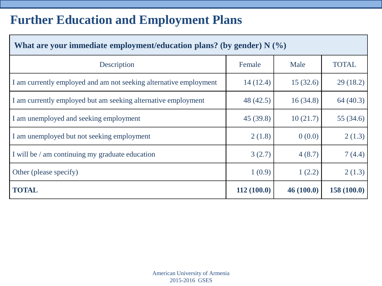# **Further Education and Employment Plans**

<span id="page-8-0"></span>

| What are your immediate employment/education plans? (by gender) $N$ (%) |            |           |              |  |  |  |
|-------------------------------------------------------------------------|------------|-----------|--------------|--|--|--|
| Description                                                             | Female     | Male      | <b>TOTAL</b> |  |  |  |
| I am currently employed and am not seeking alternative employment       | 14(12.4)   | 15(32.6)  | 29(18.2)     |  |  |  |
| I am currently employed but am seeking alternative employment           | 48 (42.5)  | 16(34.8)  | 64(40.3)     |  |  |  |
| I am unemployed and seeking employment                                  | 45(39.8)   | 10(21.7)  | 55(34.6)     |  |  |  |
| I am unemployed but not seeking employment                              | 2(1.8)     | 0(0.0)    | 2(1.3)       |  |  |  |
| I will be / am continuing my graduate education                         | 3(2.7)     | 4(8.7)    | 7(4.4)       |  |  |  |
| Other (please specify)                                                  | 1(0.9)     | 1(2.2)    | 2(1.3)       |  |  |  |
| <b>TOTAL</b>                                                            | 112(100.0) | 46(100.0) | 158(100.0)   |  |  |  |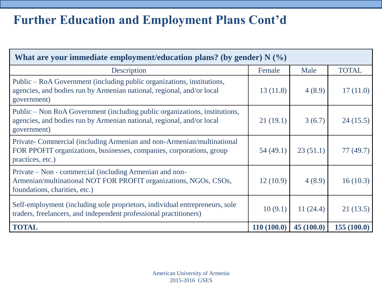# **Further Education and Employment Plans Cont'd**

| What are your immediate employment/education plans? (by gender) $N$ (%)                                                                                            |            |           |              |  |  |  |
|--------------------------------------------------------------------------------------------------------------------------------------------------------------------|------------|-----------|--------------|--|--|--|
| Description                                                                                                                                                        | Female     | Male      | <b>TOTAL</b> |  |  |  |
| Public – RoA Government (including public organizations, institutions,<br>agencies, and bodies run by Armenian national, regional, and/or local<br>government)     | 13(11.8)   | 4(8.9)    | 17(11.0)     |  |  |  |
| Public – Non RoA Government (including public organizations, institutions,<br>agencies, and bodies run by Armenian national, regional, and/or local<br>government) | 21(19.1)   | 3(6.7)    | 24(15.5)     |  |  |  |
| Private- Commercial (including Armenian and non-Armenian/multinational<br>FOR PPOFIT organizations, businesses, companies, corporations, group<br>practices, etc.) | 54(49.1)   | 23(51.1)  | 77(49.7)     |  |  |  |
| Private – Non - commercial (including Armenian and non-<br>Armenian/multinational NOT FOR PROFIT organizations, NGOs, CSOs,<br>foundations, charities, etc.)       | 12(10.9)   | 4(8.9)    | 16(10.3)     |  |  |  |
| Self-employment (including sole proprietors, individual entrepreneurs, sole<br>traders, freelancers, and independent professional practitioners)                   | 10(9.1)    | 11(24.4)  | 21(13.5)     |  |  |  |
| <b>TOTAL</b>                                                                                                                                                       | 110(100.0) | 45(100.0) | 155(100.0)   |  |  |  |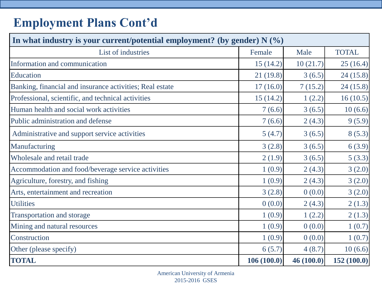# **Employment Plans Cont'd**

| In what industry is your current/potential employment? (by gender) $N$ (%) |            |           |              |  |  |
|----------------------------------------------------------------------------|------------|-----------|--------------|--|--|
| List of industries                                                         | Female     | Male      | <b>TOTAL</b> |  |  |
| Information and communication                                              | 15(14.2)   | 10(21.7)  | 25(16.4)     |  |  |
| Education                                                                  | 21(19.8)   | 3(6.5)    | 24(15.8)     |  |  |
| Banking, financial and insurance activities; Real estate                   | 17(16.0)   | 7(15.2)   | 24(15.8)     |  |  |
| Professional, scientific, and technical activities                         | 15(14.2)   | 1(2.2)    | 16(10.5)     |  |  |
| Human health and social work activities                                    | 7(6.6)     | 3(6.5)    | 10(6.6)      |  |  |
| Public administration and defense                                          | 7(6.6)     | 2(4.3)    | 9(5.9)       |  |  |
| Administrative and support service activities                              | 5(4.7)     | 3(6.5)    | 8(5.3)       |  |  |
| Manufacturing                                                              | 3(2.8)     | 3(6.5)    | 6(3.9)       |  |  |
| Wholesale and retail trade                                                 | 2(1.9)     | 3(6.5)    | 5(3.3)       |  |  |
| Accommodation and food/beverage service activities                         | 1(0.9)     | 2(4.3)    | 3(2.0)       |  |  |
| Agriculture, forestry, and fishing                                         | 1(0.9)     | 2(4.3)    | 3(2.0)       |  |  |
| Arts, entertainment and recreation                                         | 3(2.8)     | 0(0.0)    | 3(2.0)       |  |  |
| <b>Utilities</b>                                                           | 0(0.0)     | 2(4.3)    | 2(1.3)       |  |  |
| <b>Transportation and storage</b>                                          | 1(0.9)     | 1(2.2)    | 2(1.3)       |  |  |
| Mining and natural resources                                               | 1(0.9)     | 0(0.0)    | 1(0.7)       |  |  |
| Construction                                                               | 1(0.9)     | 0(0.0)    | 1(0.7)       |  |  |
| Other (please specify)                                                     | 6(5.7)     | 4(8.7)    | 10(6.6)      |  |  |
| <b>TOTAL</b>                                                               | 106(100.0) | 46(100.0) | 152(100.0)   |  |  |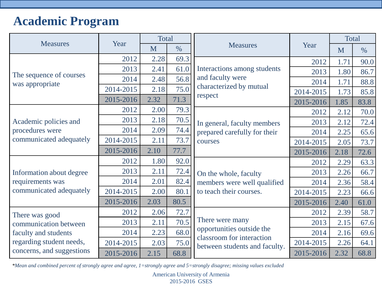## **Academic Program**

|                           |                                                      | <b>Total</b> |               | <b>Measures</b>                                            |           | <b>Total</b> |               |
|---------------------------|------------------------------------------------------|--------------|---------------|------------------------------------------------------------|-----------|--------------|---------------|
| <b>Measures</b>           | Year                                                 | M            | $\frac{0}{0}$ |                                                            | Year      | M            | $\frac{0}{0}$ |
|                           | 2012                                                 | 2.28         | 69.3          |                                                            | 2012      | 1.71         | 90.0          |
| The sequence of courses   | 2013                                                 | 2.41         | 61.0          | Interactions among students                                | 2013      | 1.80         | 86.7          |
| was appropriate           | 2014                                                 | 2.48         | 56.8          | and faculty were                                           | 2014      | 1.71         | 88.8          |
|                           | 2014-2015                                            | 2.18         | 75.0          | characterized by mutual                                    | 2014-2015 | 1.73         | 85.8          |
|                           | 2015-2016                                            | 2.32         | 71.3          | respect                                                    | 2015-2016 | 1.85         | 83.8          |
|                           | 2012                                                 | 2.00         | 79.3          |                                                            | 2012      | 2.12         | 70.0          |
| Academic policies and     | 2013                                                 | 2.18         | 70.5          | In general, faculty members                                | 2013      | 2.12         | 72.4          |
| procedures were           | 2014<br>2.09<br>74.4<br>prepared carefully for their | 2014         | 2.25          | 65.6                                                       |           |              |               |
| communicated adequately   | 2014-2015                                            | 2.11         | 73.7          | courses                                                    | 2014-2015 | 2.05         | 73.7          |
|                           | 2015-2016                                            | 2.10         | 77.7          |                                                            | 2015-2016 | 2.18         | 72.6          |
|                           | 2012                                                 | 1.80         | 92.0          |                                                            | 2012      | 2.29         | 63.3          |
| Information about degree  | 2013                                                 | 2.11         | 72.4          | On the whole, faculty                                      | 2013      | 2.26         | 66.7          |
| requirements was          | 2014                                                 | 2.01         | 82.4          | members were well qualified                                | 2014      | 2.36         | 58.4          |
| communicated adequately   | 2014-2015                                            | 2.00         | 80.1          | to teach their courses.                                    | 2014-2015 | 2.23         | 66.6          |
|                           | 2015-2016                                            | 2.03         | 80.5          |                                                            | 2015-2016 | 2.40         | 61.0          |
| There was good            | 2012                                                 | 2.06         | 72.7          |                                                            | 2012      | 2.39         | 58.7          |
| communication between     | 2013                                                 | 2.11         | 70.5          | There were many                                            | 2013      | 2.15         | 67.6          |
| faculty and students      | 2014                                                 | 2.23         | 68.0          | opportunities outside the                                  | 2014      | 2.16         | 69.6          |
| regarding student needs,  | 2014-2015                                            | 2.03         | 75.0          | classroom for interaction<br>between students and faculty. | 2014-2015 | 2.26         | 64.1          |
| concerns, and suggestions | 2015-2016                                            | 2.15         | 68.8          |                                                            | 2015-2016 | 2.32         | 68.8          |

<span id="page-11-0"></span>*\*Mean and combined percent of strongly agree and agree, 1=strongly agree and 5=strongly disagree; missing values excluded*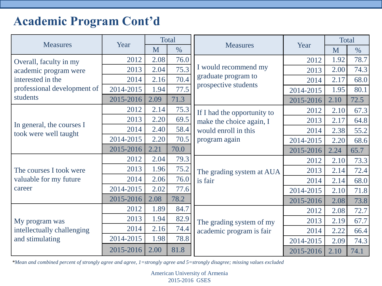## **Academic Program Cont'd**

| <b>Measures</b>                                    | Year      |      | Total         | <b>Measures</b>                       |           |      | <b>Total</b>  |
|----------------------------------------------------|-----------|------|---------------|---------------------------------------|-----------|------|---------------|
|                                                    |           | M    | $\frac{0}{0}$ |                                       | Year      | M    | $\frac{0}{0}$ |
| Overall, faculty in my                             | 2012      | 2.08 | 76.0          |                                       | 2012      | 1.92 | 78.7          |
| academic program were                              | 2013      | 2.04 | 75.3          | I would recommend my                  | 2013      | 2.00 | 74.3          |
| interested in the                                  | 2014      | 2.16 | 70.4          | graduate program to                   | 2014      | 2.17 | 68.0          |
| professional development of                        | 2014-2015 | 1.94 | 77.5          | prospective students                  | 2014-2015 | 1.95 | 80.1          |
| students                                           | 2015-2016 | 2.09 | 71.3          |                                       | 2015-2016 | 2.10 | 72.5          |
|                                                    | 2012      | 2.14 | 75.3          | If I had the opportunity to           | 2012      | 2.10 | 67.3          |
|                                                    | 2013      | 2.20 | 69.5          | make the choice again, I              | 2013      | 2.17 | 64.8          |
| In general, the courses I<br>took were well taught | 2014      | 2.40 | 58.4          | would enroll in this<br>program again | 2014      | 2.38 | 55.2          |
|                                                    | 2014-2015 | 2.20 | 70.5          |                                       | 2014-2015 | 2.20 | 68.6          |
|                                                    | 2015-2016 | 2.21 | 70.0          |                                       | 2015-2016 | 2.24 | 65.7          |
| The courses I took were                            | 2012      | 2.04 | 79.3          | The grading system at AUA<br>is fair  | 2012      | 2.10 | 73.3          |
|                                                    | 2013      | 1.96 | 75.2          |                                       | 2013      | 2.14 | 72.4          |
| valuable for my future                             | 2014      | 2.06 | 76.0          |                                       | 2014      | 2.14 | 68.0          |
| career                                             | 2014-2015 | 2.02 | 77.6          |                                       | 2014-2015 | 2.10 | 71.8          |
|                                                    | 2015-2016 | 2.08 | 78.2          |                                       | 2015-2016 | 2.08 | 73.8          |
|                                                    | 2012      | 1.89 | 84.7          |                                       | 2012      | 2.08 | 72.7          |
| My program was                                     | 2013      | 1.94 | 82.9          | The grading system of my              | 2013      | 2.19 | 67.7          |
| intellectually challenging                         | 2014      | 2.16 | 74.4          | academic program is fair              | 2014      | 2.22 | 66.4          |
| and stimulating                                    | 2014-2015 | 1.98 | 78.8          |                                       | 2014-2015 | 2.09 | 74.3          |
|                                                    | 2015-2016 | 2.00 | 81.8          |                                       | 2015-2016 | 2.10 | 74.1          |

*\*Mean and combined percent of strongly agree and agree, 1=strongly agree and 5=strongly disagree; missing values excluded*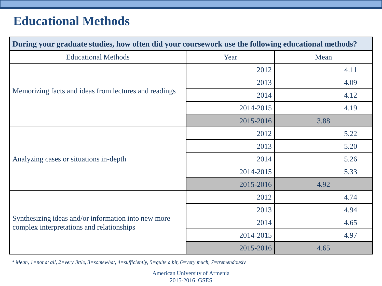## **Educational Methods**

| During your graduate studies, how often did your coursework use the following educational methods? |           |      |  |  |  |
|----------------------------------------------------------------------------------------------------|-----------|------|--|--|--|
| <b>Educational Methods</b>                                                                         | Year      | Mean |  |  |  |
|                                                                                                    | 2012      | 4.11 |  |  |  |
|                                                                                                    | 2013      | 4.09 |  |  |  |
| Memorizing facts and ideas from lectures and readings                                              | 2014      | 4.12 |  |  |  |
|                                                                                                    | 2014-2015 | 4.19 |  |  |  |
|                                                                                                    | 2015-2016 | 3.88 |  |  |  |
|                                                                                                    | 2012      | 5.22 |  |  |  |
|                                                                                                    | 2013      | 5.20 |  |  |  |
| Analyzing cases or situations in-depth                                                             | 2014      | 5.26 |  |  |  |
|                                                                                                    | 2014-2015 | 5.33 |  |  |  |
|                                                                                                    | 2015-2016 | 4.92 |  |  |  |
|                                                                                                    | 2012      | 4.74 |  |  |  |
|                                                                                                    | 2013      | 4.94 |  |  |  |
| Synthesizing ideas and/or information into new more<br>complex interpretations and relationships   | 2014      | 4.65 |  |  |  |
|                                                                                                    | 2014-2015 | 4.97 |  |  |  |
|                                                                                                    | 2015-2016 | 4.65 |  |  |  |

<span id="page-13-0"></span>*\* Mean, 1=not at all, 2=very little, 3=somewhat, 4=sufficiently, 5=quite a bit, 6=very much, 7=tremendously*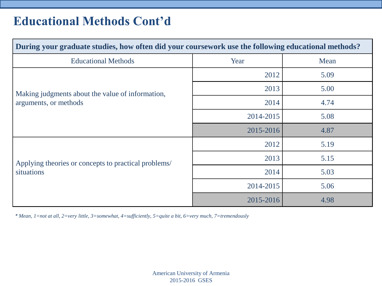#### **Educational Methods Cont'd**

| During your graduate studies, how often did your coursework use the following educational methods? |           |      |  |  |  |  |
|----------------------------------------------------------------------------------------------------|-----------|------|--|--|--|--|
| <b>Educational Methods</b>                                                                         | Year      | Mean |  |  |  |  |
|                                                                                                    | 2012      | 5.09 |  |  |  |  |
| Making judgments about the value of information,<br>arguments, or methods                          | 2013      | 5.00 |  |  |  |  |
|                                                                                                    | 2014      | 4.74 |  |  |  |  |
|                                                                                                    | 2014-2015 | 5.08 |  |  |  |  |
|                                                                                                    | 2015-2016 | 4.87 |  |  |  |  |
|                                                                                                    | 2012      | 5.19 |  |  |  |  |
| Applying theories or concepts to practical problems/                                               | 2013      | 5.15 |  |  |  |  |
| situations                                                                                         | 2014      | 5.03 |  |  |  |  |
|                                                                                                    | 2014-2015 | 5.06 |  |  |  |  |
|                                                                                                    | 2015-2016 | 4.98 |  |  |  |  |

*\* Mean, 1=not at all, 2=very little, 3=somewhat, 4=sufficiently, 5=quite a bit, 6=very much, 7=tremendously*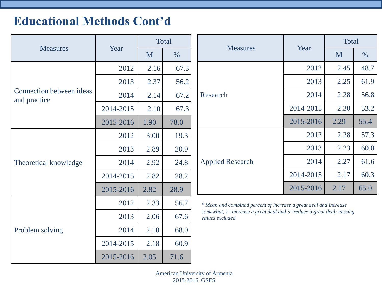# **Educational Methods Cont'd**

|                                          |           | <b>Total</b> |               |  |                                                                                                                                                              |                                                                                                          | <b>Total</b> |      |  |
|------------------------------------------|-----------|--------------|---------------|--|--------------------------------------------------------------------------------------------------------------------------------------------------------------|----------------------------------------------------------------------------------------------------------|--------------|------|--|
| <b>Measures</b>                          | Year      | M            | $\frac{0}{0}$ |  | <b>Measures</b>                                                                                                                                              | Year<br>2012<br>2013<br>2014<br>2014-2015<br>2015-2016<br>2012<br>2013<br>2014<br>2014-2015<br>2015-2016 | M            | $\%$ |  |
|                                          | 2012      | 2.16         | 67.3          |  |                                                                                                                                                              |                                                                                                          | 2.45         | 48.7 |  |
|                                          | 2013      | 2.37         | 56.2          |  |                                                                                                                                                              |                                                                                                          | 2.25         | 61.9 |  |
| Connection between ideas<br>and practice | 2014      | 2.14         | 67.2          |  | Research                                                                                                                                                     |                                                                                                          | 2.28         | 56.8 |  |
|                                          | 2014-2015 | 2.10         | 67.3          |  |                                                                                                                                                              |                                                                                                          | 2.30         | 53.2 |  |
|                                          | 2015-2016 | 1.90         | 78.0          |  |                                                                                                                                                              |                                                                                                          | 2.29         | 55.4 |  |
|                                          | 2012      | 3.00         | 19.3          |  | <b>Applied Research</b>                                                                                                                                      |                                                                                                          | 2.28         | 57.3 |  |
|                                          | 2013      | 2.89         | 20.9          |  |                                                                                                                                                              |                                                                                                          | 2.23         | 60.0 |  |
| Theoretical knowledge                    | 2014      | 2.92         | 24.8          |  |                                                                                                                                                              |                                                                                                          | 2.27         | 61.6 |  |
|                                          | 2014-2015 | 2.82         | 28.2          |  |                                                                                                                                                              |                                                                                                          | 2.17         | 60.3 |  |
|                                          | 2015-2016 | 2.82         | 28.9          |  |                                                                                                                                                              |                                                                                                          | 2.17         | 65.0 |  |
|                                          | 2012      | 2.33         | 56.7          |  | * Mean and combined percent of increase a great deal and increase<br>somewhat, 1=increase a great deal and 5=reduce a great deal; missing<br>values excluded |                                                                                                          |              |      |  |
|                                          | 2013      | 2.06         | 67.6          |  |                                                                                                                                                              |                                                                                                          |              |      |  |
| Problem solving                          | 2014      | 2.10         | 68.0          |  |                                                                                                                                                              |                                                                                                          |              |      |  |
|                                          | 2014-2015 | 2.18         | 60.9          |  |                                                                                                                                                              |                                                                                                          |              |      |  |
|                                          | 2015-2016 | 2.05         | 71.6          |  |                                                                                                                                                              |                                                                                                          |              |      |  |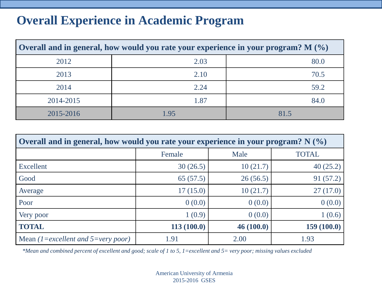#### **Overall Experience in Academic Program**

| Overall and in general, how would you rate your experience in your program? $M(\%)$ |      |      |  |  |  |  |  |
|-------------------------------------------------------------------------------------|------|------|--|--|--|--|--|
| 2012                                                                                | 2.03 | 80.0 |  |  |  |  |  |
| 2013                                                                                | 2.10 | 70.5 |  |  |  |  |  |
| 2014                                                                                | 2.24 | 59.2 |  |  |  |  |  |
| 2014-2015                                                                           | 1.87 | 84.0 |  |  |  |  |  |
| 2015-2016                                                                           | 1.95 | 81.5 |  |  |  |  |  |

| Overall and in general, how would you rate your experience in your program? $N$ (%) |            |           |              |  |  |  |  |
|-------------------------------------------------------------------------------------|------------|-----------|--------------|--|--|--|--|
|                                                                                     | Female     | Male      | <b>TOTAL</b> |  |  |  |  |
| Excellent                                                                           | 30(26.5)   | 10(21.7)  | 40(25.2)     |  |  |  |  |
| Good                                                                                | 65(57.5)   | 26(56.5)  | 91 (57.2)    |  |  |  |  |
| Average                                                                             | 17(15.0)   | 10(21.7)  | 27(17.0)     |  |  |  |  |
| Poor                                                                                | 0(0.0)     | 0(0.0)    | 0(0.0)       |  |  |  |  |
| Very poor                                                                           | 1(0.9)     | 0(0.0)    | 1(0.6)       |  |  |  |  |
| <b>TOTAL</b>                                                                        | 113(100.0) | 46(100.0) | 159(100.0)   |  |  |  |  |
| Mean (1=excellent and 5=very poor)                                                  | 1.91       | 2.00      | 1.93         |  |  |  |  |

<span id="page-16-0"></span>*\*Mean and combined percent of excellent and good; scale of 1 to 5, 1=excellent and 5= very poor; missing values excluded*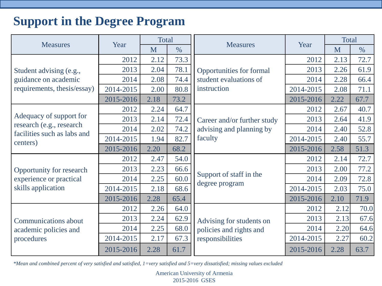#### **Support in the Degree Program**

|                                                         | Year      | <b>Total</b> |               | <b>Measures</b>                                                    | Year<br>2012<br>2013<br>2014<br>2014-2015<br>2015-2016<br>2012<br>2013<br>2014<br>2014-2015<br>2015-2016<br>2012<br>2013<br>2014<br>2014-2015<br>2015-2016<br>2012<br>2013 | <b>Total</b> |      |
|---------------------------------------------------------|-----------|--------------|---------------|--------------------------------------------------------------------|----------------------------------------------------------------------------------------------------------------------------------------------------------------------------|--------------|------|
| <b>Measures</b>                                         |           | M            | $\frac{0}{0}$ |                                                                    |                                                                                                                                                                            |              | M    |
|                                                         | 2012      | 2.12         | 73.3          |                                                                    |                                                                                                                                                                            | 2.13         | 72.7 |
| Student advising (e.g.,                                 | 2013      | 2.04         | 78.1          | <b>Opportunities for formal</b>                                    |                                                                                                                                                                            | 2.26         | 61.9 |
| guidance on academic                                    | 2014      | 2.08         | 74.4          | student evaluations of                                             |                                                                                                                                                                            | 2.28         | 66.4 |
| requirements, thesis/essay)                             | 2014-2015 | 2.00         | 80.8          | instruction                                                        |                                                                                                                                                                            | 2.08         | 71.1 |
|                                                         | 2015-2016 | 2.18         | 73.2          |                                                                    |                                                                                                                                                                            | 2.22         | 67.7 |
| 64.7<br>2012<br>2.24                                    |           |              | 2.67          | 40.7                                                               |                                                                                                                                                                            |              |      |
| Adequacy of support for                                 | 2013      | 2.14         | 72.4          | Career and/or further study<br>advising and planning by<br>faculty |                                                                                                                                                                            | 2.64         | 41.9 |
| research (e.g., research<br>facilities such as labs and | 2014      | 2.02         | 74.2          |                                                                    |                                                                                                                                                                            | 2.40         | 52.8 |
| centers)                                                | 2014-2015 | 1.94         | 82.7          |                                                                    |                                                                                                                                                                            | 2.40         | 55.7 |
|                                                         | 2015-2016 | 2.20         | 68.2          |                                                                    |                                                                                                                                                                            | 2.58         | 51.3 |
| Opportunity for research<br>experience or practical     | 2012      | 2.47         | 54.0          | Support of staff in the<br>degree program                          |                                                                                                                                                                            | 2.14         | 72.7 |
|                                                         | 2013      | 2.23         | 66.6          |                                                                    |                                                                                                                                                                            | 2.00         | 77.2 |
|                                                         | 2014      | 2.25         | 60.0          |                                                                    |                                                                                                                                                                            | 2.09         | 72.8 |
| skills application                                      | 2014-2015 | 2.18         | 68.6          |                                                                    |                                                                                                                                                                            | 2.03         | 75.0 |
|                                                         | 2015-2016 | 2.28         | 65.4          |                                                                    |                                                                                                                                                                            | 2.10         | 71.9 |
|                                                         | 2012      | 2.26         | 64.0          |                                                                    |                                                                                                                                                                            | 2.12         | 70.0 |
| <b>Communications about</b>                             | 2013      | 2.24         | 62.9          | Advising for students on                                           |                                                                                                                                                                            | 2.13         | 67.6 |
| academic policies and                                   | 2014      | 2.25         | 68.0          | policies and rights and                                            | 2014                                                                                                                                                                       | 2.20         | 64.6 |
| procedures                                              | 2014-2015 | 2.17         | 67.3          | responsibilities                                                   | 2014-2015                                                                                                                                                                  | 2.27         | 60.2 |
|                                                         | 2015-2016 | 2.28         | 61.7          |                                                                    | 2015-2016                                                                                                                                                                  | 2.28         | 63.7 |

<span id="page-17-0"></span>*\*Mean and combined percent of very satisfied and satisfied, 1=very satisfied and 5=very dissatisfied; missing values excluded*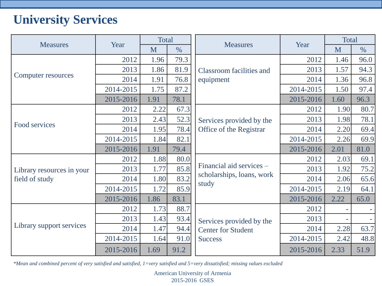# **University Services**

|                           |           | <b>Total</b> |               |                                                       |           | Total |               |
|---------------------------|-----------|--------------|---------------|-------------------------------------------------------|-----------|-------|---------------|
| <b>Measures</b>           | Year      | M            | $\frac{0}{0}$ | <b>Measures</b>                                       | Year      | M     | $\frac{0}{0}$ |
|                           | 2012      | 1.96         | 79.3          |                                                       | 2012      | 1.46  | 96.0          |
|                           | 2013      | 1.86         | 81.9          | <b>Classroom facilities and</b>                       | 2013      | 1.57  | 94.3          |
| Computer resources        | 2014      | 1.91         | 76.8          | equipment                                             | 2014      | 1.36  | 96.8          |
|                           | 2014-2015 | 1.75         | 87.2          |                                                       | 2014-2015 | 1.50  | 97.4          |
|                           | 2015-2016 | 1.91         | 78.1          |                                                       | 2015-2016 | 1.60  | 96.3          |
|                           | 2012      | 2.22         | 67.3          |                                                       | 2012      | 1.90  | 80.7          |
|                           | 2013      | 2.43         | 52.3          | Services provided by the<br>Office of the Registrar   | 2013      | 1.98  | 78.1          |
| Food services             | 2014      | 1.95         | 78.4          |                                                       | 2014      | 2.20  | 69.4          |
|                           | 2014-2015 | 1.84         | 82.1          |                                                       | 2014-2015 | 2.26  | 69.9          |
|                           | 2015-2016 | 1.91         | 79.4          |                                                       | 2015-2016 | 2.01  | 81.0          |
|                           | 2012      | 1.88         | 80.0          |                                                       | 2012      | 2.03  | 69.1          |
| Library resources in your | 2013      | 1.77         | 85.8          | Financial aid services –                              | 2013      | 1.92  | 75.2          |
| field of study            | 2014      | 1.80         | 83.2          | scholarships, loans, work                             | 2014      | 2.06  | 65.6          |
|                           | 2014-2015 | 1.72         | 85.9          | study                                                 | 2014-2015 | 2.19  | 64.1          |
|                           | 2015-2016 | 1.86         | 83.1          |                                                       | 2015-2016 | 2.22  | 65.0          |
|                           | 2012      | 1.73         | 88.7          |                                                       | 2012      |       |               |
| Library support services  | 2013      | 1.43         | 93.4          | Services provided by the<br><b>Center for Student</b> | 2013      |       |               |
|                           | 2014      | 1.47         | 94.4          |                                                       | 2014      | 2.28  | 63.7          |
|                           | 2014-2015 | 1.64         | 91.0          | <b>Success</b>                                        | 2014-2015 | 2.42  | 48.8          |
|                           | 2015-2016 | 1.69         | 91.2          |                                                       | 2015-2016 | 2.33  | 51.9          |

<span id="page-18-0"></span>*\*Mean and combined percent of very satisfied and satisfied, 1=very satisfied and 5=very dissatisfied; missing values excluded*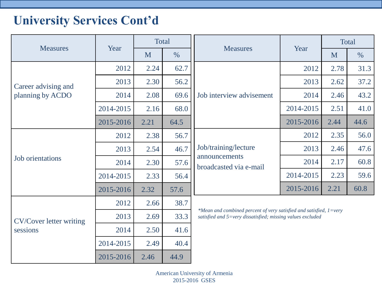## **University Services Cont'd**

| <b>Measures</b>                         | Year                      |      | Total |                                                                                                                                                                                                                                                                                          |   | <b>Total</b> |      |  |  |
|-----------------------------------------|---------------------------|------|-------|------------------------------------------------------------------------------------------------------------------------------------------------------------------------------------------------------------------------------------------------------------------------------------------|---|--------------|------|--|--|
|                                         |                           | M    | $\%$  | Year<br><b>Measures</b><br>2012<br>2013<br>Job interview advisement<br>2014<br>2014-2015<br>2015-2016<br>2012<br>Job/training/lecture<br>2013<br>announcements<br>2014<br>broadcasted via e-mail<br>2014-2015<br>2015-2016<br>satisfied and 5=very dissatisfied; missing values excluded | M | $\%$         |      |  |  |
|                                         | 2012                      | 2.24 | 62.7  |                                                                                                                                                                                                                                                                                          |   | 2.78         | 31.3 |  |  |
| Career advising and<br>planning by ACDO | 2013                      | 2.30 | 56.2  |                                                                                                                                                                                                                                                                                          |   | 2.62         | 37.2 |  |  |
|                                         | 2014                      | 2.08 | 69.6  |                                                                                                                                                                                                                                                                                          |   | 2.46         | 43.2 |  |  |
|                                         | 2014-2015                 | 2.16 | 68.0  |                                                                                                                                                                                                                                                                                          |   | 2.51         | 41.0 |  |  |
|                                         | 64.5<br>2015-2016<br>2.21 |      | 2.44  | 44.6                                                                                                                                                                                                                                                                                     |   |              |      |  |  |
|                                         | 2012                      | 2.38 | 56.7  |                                                                                                                                                                                                                                                                                          |   | 2.35         | 56.0 |  |  |
|                                         | 2013                      | 2.54 | 46.7  |                                                                                                                                                                                                                                                                                          |   | 2.46         | 47.6 |  |  |
| <b>Job</b> orientations                 | 2014                      | 2.30 | 57.6  |                                                                                                                                                                                                                                                                                          |   | 2.17         | 60.8 |  |  |
|                                         | 2014-2015                 | 2.33 | 56.4  |                                                                                                                                                                                                                                                                                          |   | 2.23         | 59.6 |  |  |
|                                         | 2015-2016                 | 2.32 | 57.6  |                                                                                                                                                                                                                                                                                          |   | 2.21         | 60.8 |  |  |
|                                         | 2012                      | 2.66 | 38.7  |                                                                                                                                                                                                                                                                                          |   |              |      |  |  |
| <b>CV/Cover letter writing</b>          | 2013                      | 2.69 | 33.3  | *Mean and combined percent of very satisfied and satisfied, $1=$ very                                                                                                                                                                                                                    |   |              |      |  |  |
| sessions                                | 2014                      | 2.50 | 41.6  |                                                                                                                                                                                                                                                                                          |   |              |      |  |  |
|                                         | 2014-2015                 | 2.49 | 40.4  |                                                                                                                                                                                                                                                                                          |   |              |      |  |  |
|                                         | 2015-2016                 | 2.46 | 44.9  |                                                                                                                                                                                                                                                                                          |   |              |      |  |  |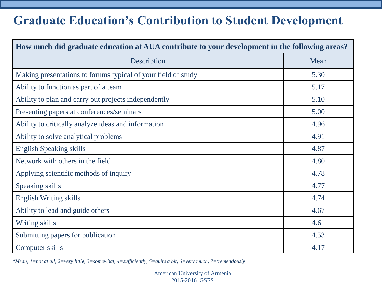#### **Graduate Education's Contribution to Student Development**

| How much did graduate education at AUA contribute to your development in the following areas? |      |  |  |  |  |
|-----------------------------------------------------------------------------------------------|------|--|--|--|--|
| Description                                                                                   | Mean |  |  |  |  |
| Making presentations to forums typical of your field of study                                 | 5.30 |  |  |  |  |
| Ability to function as part of a team                                                         | 5.17 |  |  |  |  |
| Ability to plan and carry out projects independently                                          | 5.10 |  |  |  |  |
| Presenting papers at conferences/seminars                                                     | 5.00 |  |  |  |  |
| Ability to critically analyze ideas and information                                           | 4.96 |  |  |  |  |
| Ability to solve analytical problems                                                          | 4.91 |  |  |  |  |
| <b>English Speaking skills</b>                                                                | 4.87 |  |  |  |  |
| Network with others in the field                                                              | 4.80 |  |  |  |  |
| Applying scientific methods of inquiry                                                        | 4.78 |  |  |  |  |
| Speaking skills                                                                               | 4.77 |  |  |  |  |
| <b>English Writing skills</b>                                                                 | 4.74 |  |  |  |  |
| Ability to lead and guide others                                                              | 4.67 |  |  |  |  |
| Writing skills                                                                                | 4.61 |  |  |  |  |
| Submitting papers for publication                                                             | 4.53 |  |  |  |  |
| Computer skills                                                                               | 4.17 |  |  |  |  |

<span id="page-20-0"></span>*\*Mean, 1=not at all, 2=very little, 3=somewhat, 4=sufficiently, 5=quite a bit, 6=very much, 7=tremendously*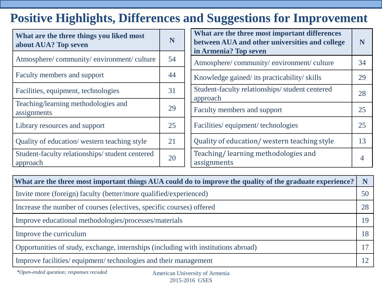# **Positive Highlights, Differences and Suggestions for Improvement**

| What are the three things you liked most<br>about AUA? Top seven | N  | What are the three most important differences<br>between AUA and other universities and college<br>in Armenia? Top seven | N              |
|------------------------------------------------------------------|----|--------------------------------------------------------------------------------------------------------------------------|----------------|
| Atmosphere/community/environment/culture                         | 54 | Atmosphere/community/environment/culture                                                                                 | 34             |
| Faculty members and support                                      | 44 | Knowledge gained/ its practicability/ skills                                                                             | 29             |
| Facilities, equipment, technologies                              | 31 | Student-faculty relationships/student centered<br>approach                                                               | 28             |
| Teaching/learning methodologies and<br>assignments               | 29 | Faculty members and support                                                                                              | 25             |
| Library resources and support                                    | 25 | Facilities/equipment/technologies                                                                                        | 25             |
| Quality of education/western teaching style                      | 21 | Quality of education/western teaching style                                                                              | 13             |
| Student-faculty relationships/student centered<br>approach       | 20 | Teaching/learning methodologies and<br>assignments                                                                       | $\overline{4}$ |

| What are the three most important things AUA could do to improve the quality of the graduate experience? |    |
|----------------------------------------------------------------------------------------------------------|----|
| Invite more (foreign) faculty (better/more qualified/experienced)                                        | 50 |
| Increase the number of courses (electives, specific courses) offered                                     | 28 |
| Improve educational methodologies/processes/materials                                                    | 19 |
| Improve the curriculum                                                                                   | 18 |
| Opportunities of study, exchange, internships (including with institutions abroad)                       |    |
| Improve facilities/equipment/technologies and their management                                           |    |

<span id="page-21-0"></span>*\*Open-ended question; responses recoded*